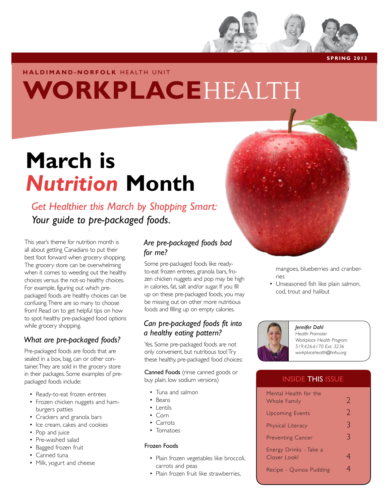

**haldimand-norfolk** HEALTH UNIT

## **WORKPLACE**HEALTH

## **March is**  *Nutrition* **Month**

*Get Healthier this March by Shopping Smart: Your guide to pre-packaged foods.*

This year's theme for nutrition month is all about getting Canadians to put their best foot forward when grocery shopping. The grocery store can be overwhelming when it comes to weeding out the healthy choices versus the not-so healthy choices. For example, figuring out which prepackaged foods are healthy choices can be confusing. There are so many to choose from! Read on to get helpful tips on how to spot healthy pre-packaged food options while grocery shopping.

#### *What are pre-packaged foods?*

Pre-packaged foods are foods that are sealed in a box, bag, can or other container. They are sold in the grocery store in their packages. Some examples of prepackaged foods include:

- Ready-to-eat frozen entrees
- Frozen chicken nuggets and hamburgers patties
- Crackers and granola bars
- Ice cream, cakes and cookies
- Pop and juice
- Pre-washed salad
- Bagged frozen fruit
- Canned tuna
- Milk, yogurt and cheese

#### *Are pre-packaged foods bad for me?*

Some pre-packaged foods like readyto-eat frozen entrees, granola bars, frozen chicken nuggets and pop may be high in calories, fat, salt and/or sugar. If you fill up on these pre-packaged foods, you may be missing out on other more nutritious foods and filling up on empty calories.

#### *Can pre-packaged foods fit into a healthy eating pattern?*

Yes. Some pre-packaged foods are not only convenient, but nutritious too! Try these healthy, pre-packaged food choices:

Canned Foods (rinse canned goods or buy plain, low sodium versions)

- Tuna and salmon
- Beans
- Lentils
- Corn
- Carrots
- Tomatoes

#### Frozen Foods

- Plain frozen vegetables like broccoli, carrots and peas
- Plain frozen fruit like strawberries,

mangoes, blueberries and cranberries

• Unseasoned fish like plain salmon, cod, trout and halibut



#### *Jennifer Dahl*

*Health Promoter Workplace Health Program 519.426.6170 Ext. 3236 workplacehealth@hnhu.org*

#### **INSIDE THIS ISSUE**

| Mental Health for the<br>Whole Family  | $\mathcal{D}$ |
|----------------------------------------|---------------|
| <b>Upcoming Events</b>                 | $\mathcal{D}$ |
| <b>Physical Literacy</b>               | 3             |
| <b>Preventing Cancer</b>               | 3             |
| Energy Drinks - Take a<br>Closer Look! | 4             |
| Recipe - Quinoa Pudding                |               |
|                                        |               |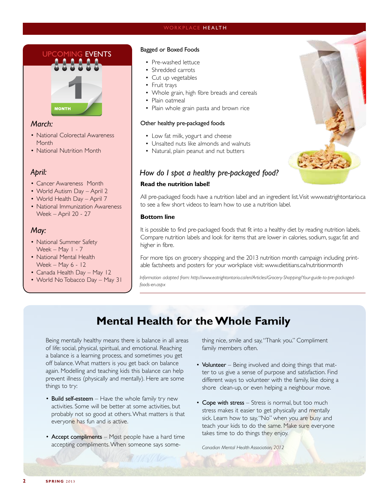### **EVENTS**



#### *March:*

- National Colorectal Awareness Month
- National Nutrition Month

#### *April:*

- Cancer Awareness Month
- World Autism Day April 2
- World Health Day April 7
- National Immunization Awareness Week – April 20 - 27

#### *May:*

- National Summer Safety Week – May  $1 - 7$
- National Mental Health Week – May 6 - 12
- Canada Health Day May 12
- World No Tobacco Day May 31

#### Bagged or Boxed Foods

- Pre-washed lettuce
- Shredded carrots
- Cut up vegetables
- Fruit trays
- Whole grain, high fibre breads and cereals
- Plain oatmeal
- Plain whole grain pasta and brown rice

#### Other healthy pre-packaged foods

- Low fat milk, yogurt and cheese
- Unsalted nuts like almonds and walnuts
- Natural, plain peanut and nut butters

#### *How do I spot a healthy pre-packaged food?*

#### **Read the nutrition label!**

All pre-packaged foods have a nutrition label and an ingredient list. Visit www.eatrightontario.ca to see a few short videos to learn how to use a nutrition label.

#### **Bottom line**

It is possible to find pre-packaged foods that fit into a healthy diet by reading nutrition labels. Compare nutrition labels and look for items that are lower in calories, sodium, sugar, fat and higher in fibre.

For more tips on grocery shopping and the 2013 nutrition month campaign including printable factsheets and posters for your workplace visit: www.dietitians.ca/nutritionmonth

*Information adapted from: http://www.eatrightontario.ca/en/Articles/Grocery-Shopping/Your-guide-to-pre-packagedfoods-en.aspx* 

### **Mental Health for the Whole Family**

Being mentally healthy means there is balance in all areas of life: social, physical, spiritual, and emotional. Reaching a balance is a learning process, and sometimes you get off balance. What matters is you get back on balance again. Modelling and teaching kids this balance can help prevent illness (physically and mentally). Here are some things to try:

- Build self-esteem Have the whole family try new activities. Some will be better at some activities, but probably not so good at others. What matters is that everyone has fun and is active.
- Accept compliments Most people have a hard time accepting compliments. When someone says some-

thing nice, smile and say, "Thank you." Compliment family members often.

- Volunteer Being involved and doing things that matter to us give a sense of purpose and satisfaction. Find different ways to volunteer with the family, like doing a shore clean-up, or even helping a neighbour move.
- Cope with stress Stress is normal, but too much stress makes it easier to get physically and mentally sick. Learn how to say, "No" when you are busy and teach your kids to do the same. Make sure everyone takes time to do things they enjoy.

*Canadian Mental Health Association, 2012*

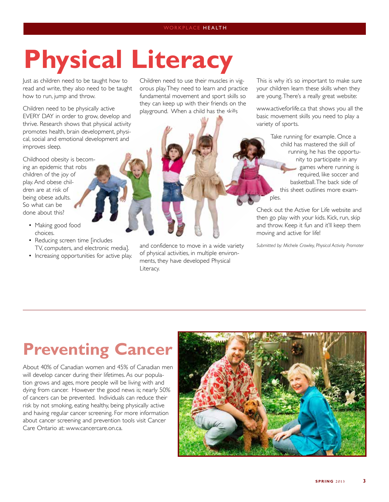# **Physical Literacy**

Just as children need to be taught how to read and write, they also need to be taught how to run, jump and throw.

Children need to be physically active EVERY DAY in order to grow, develop and thrive. Research shows that physical activity promotes health, brain development, physical, social and emotional development and improves sleep.

Childhood obesity is becoming an epidemic that robs children of the joy of play. And obese children are at risk of being obese adults. So what can be done about this?

- Making good food choices.
- Reducing screen time [includes TV, computers, and electronic media].
- Increasing opportunities for active play.

Children need to use their muscles in vigorous play. They need to learn and practice fundamental movement and sport skills so they can keep up with their friends on the playground. When a child has the skills

and confidence to move in a wide variety of physical activities, in multiple environments, they have developed Physical

Literacy.

This is why it's so important to make sure your children learn these skills when they are young. There's a really great website:

www.activeforlife.ca that shows you all the basic movement skills you need to play a variety of sports.

> Take running for example. Once a child has mastered the skill of running, he has the opportunity to participate in any games where running is required, like soccer and basketball. The back side of this sheet outlines more examples.

Check out the Active for Life website and then go play with your kids. Kick, run, skip and throw. Keep it fun and it'll keep them moving and active for life!

*Submitted by: Michele Crowley, Physical Activity Promoter*

### **Preventing Cancer**

About 40% of Canadian women and 45% of Canadian men will develop cancer during their lifetimes. As our population grows and ages, more people will be living with and dying from cancer. However the good news is; nearly 50% of cancers can be prevented. Individuals can reduce their risk by not smoking, eating healthy, being physically active and having regular cancer screening. For more information about cancer screening and prevention tools visit Cancer Care Ontario at: www.cancercare.on.ca.